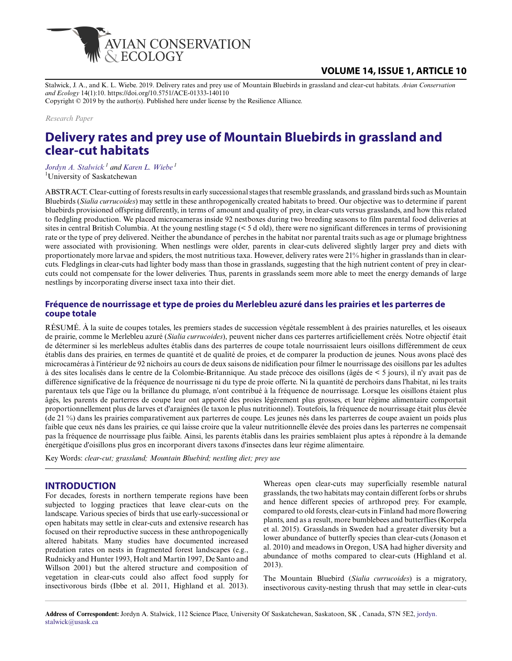

# **VOLUME 14, ISSUE 1, ARTICLE 10**

Stalwick, J. A., and K. L. Wiebe. 2019. Delivery rates and prey use of Mountain Bluebirds in grassland and clear-cut habitats. *Avian Conservation and Ecology* 14(1):10. https://doi.org/10.5751/ACE-01333-140110

Copyright © 2019 by the author(s). Published here under license by the Resilience Alliance.

*Research Paper*

# **Delivery rates and prey use of Mountain Bluebirds in grassland and clear-cut habitats**

*[Jordyn A. Stalwick](mailto:jordyn.stalwick@usask.ca)<sup>1</sup> and [Karen L. Wiebe](mailto:karen.wiebe@usask.ca)<sup>1</sup>* <sup>1</sup>University of Saskatchewan

ABSTRACT. Clear-cutting of forests results in early successional stages that resemble grasslands, and grassland birds such as Mountain Bluebirds (*Sialia currucoides*) may settle in these anthropogenically created habitats to breed. Our objective was to determine if parent bluebirds provisioned offspring differently, in terms of amount and quality of prey, in clear-cuts versus grasslands, and how this related to fledgling production. We placed microcameras inside 92 nestboxes during two breeding seasons to film parental food deliveries at sites in central British Columbia. At the young nestling stage (< 5 d old), there were no significant differences in terms of provisioning rate or the type of prey delivered. Neither the abundance of perches in the habitat nor parental traits such as age or plumage brightness were associated with provisioning. When nestlings were older, parents in clear-cuts delivered slightly larger prey and diets with proportionately more larvae and spiders, the most nutritious taxa. However, delivery rates were 21% higher in grasslands than in clearcuts. Fledglings in clear-cuts had lighter body mass than those in grasslands, suggesting that the high nutrient content of prey in clearcuts could not compensate for the lower deliveries. Thus, parents in grasslands seem more able to meet the energy demands of large nestlings by incorporating diverse insect taxa into their diet.

## **Fréquence de nourrissage et type de proies du Merlebleu azuré dans les prairies et les parterres de coupe totale**

RÉSUMÉ. À la suite de coupes totales, les premiers stades de succession végétale ressemblent à des prairies naturelles, et les oiseaux de prairie, comme le Merlebleu azuré (*Sialia currucoides*), peuvent nicher dans ces parterres artificiellement créés. Notre objectif était de déterminer si les merlebleus adultes établis dans des parterres de coupe totale nourrissaient leurs oisillons différemment de ceux établis dans des prairies, en termes de quantité et de qualité de proies, et de comparer la production de jeunes. Nous avons placé des microcaméras à l'intérieur de 92 nichoirs au cours de deux saisons de nidification pour filmer le nourrissage des oisillons par les adultes à des sites localisés dans le centre de la Colombie-Britannique. Au stade précoce des oisillons (âgés de < 5 jours), il n'y avait pas de différence significative de la fréquence de nourrissage ni du type de proie offerte. Ni la quantité de perchoirs dans l'habitat, ni les traits parentaux tels que l'âge ou la brillance du plumage, n'ont contribué à la fréquence de nourrissage. Lorsque les oisillons étaient plus âgés, les parents de parterres de coupe leur ont apporté des proies légèrement plus grosses, et leur régime alimentaire comportait proportionnellement plus de larves et d'araignées (le taxon le plus nutritionnel). Toutefois, la fréquence de nourrissage était plus élevée (de 21 %) dans les prairies comparativement aux parterres de coupe. Les jeunes nés dans les parterres de coupe avaient un poids plus faible que ceux nés dans les prairies, ce qui laisse croire que la valeur nutritionnelle élevée des proies dans les parterres ne compensait pas la fréquence de nourrissage plus faible. Ainsi, les parents établis dans les prairies semblaient plus aptes à répondre à la demande énergétique d'oisillons plus gros en incorporant divers taxons d'insectes dans leur régime alimentaire.

Key Words: *clear-cut; grassland; Mountain Bluebird; nestling diet; prey use*

## **INTRODUCTION**

For decades, forests in northern temperate regions have been subjected to logging practices that leave clear-cuts on the landscape. Various species of birds that use early-successional or open habitats may settle in clear-cuts and extensive research has focused on their reproductive success in these anthropogenically altered habitats. Many studies have documented increased predation rates on nests in fragmented forest landscapes (e.g., Rudnicky and Hunter 1993, Holt and Martin 1997, De Santo and Willson 2001) but the altered structure and composition of vegetation in clear-cuts could also affect food supply for insectivorous birds (Ibbe et al. 2011, Highland et al. 2013).

Whereas open clear-cuts may superficially resemble natural grasslands, the two habitats may contain different forbs or shrubs and hence different species of arthropod prey. For example, compared to old forests, clear-cuts in Finland had more flowering plants, and as a result, more bumblebees and butterflies (Korpela et al. 2015). Grasslands in Sweden had a greater diversity but a lower abundance of butterfly species than clear-cuts (Jonason et al. 2010) and meadows in Oregon, USA had higher diversity and abundance of moths compared to clear-cuts (Highland et al. 2013).

The Mountain Bluebird (*Sialia currucoides*) is a migratory, insectivorous cavity-nesting thrush that may settle in clear-cuts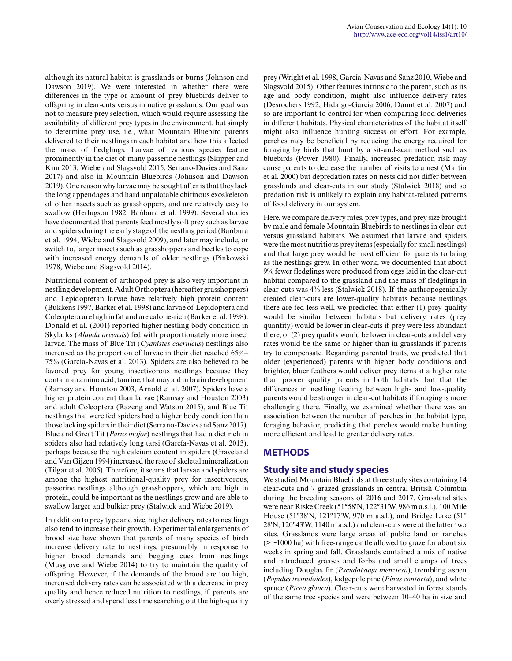although its natural habitat is grasslands or burns (Johnson and Dawson 2019). We were interested in whether there were differences in the type or amount of prey bluebirds deliver to offspring in clear-cuts versus in native grasslands. Our goal was not to measure prey selection, which would require assessing the availability of different prey types in the environment, but simply to determine prey use, i.e., what Mountain Bluebird parents delivered to their nestlings in each habitat and how this affected the mass of fledglings. Larvae of various species feature prominently in the diet of many passerine nestlings (Skipper and Kim 2013, Wiebe and Slagsvold 2015, Serrano-Davies and Sanz 2017) and also in Mountain Bluebirds (Johnson and Dawson 2019). One reason why larvae may be sought after is that they lack the long appendages and hard unpalatable chitinous exoskeleton of other insects such as grasshoppers, and are relatively easy to swallow (Herlugson 1982, Bańbura et al. 1999). Several studies have documented that parents feed mostly soft prey such as larvae and spiders during the early stage of the nestling period (Bańbura et al. 1994, Wiebe and Slagsvold 2009), and later may include, or switch to, larger insects such as grasshoppers and beetles to cope with increased energy demands of older nestlings (Pinkowski 1978, Wiebe and Slagsvold 2014).

Nutritional content of arthropod prey is also very important in nestling development. Adult Orthoptera (hereafter grasshoppers) and Lepidopteran larvae have relatively high protein content (Bukkens 1997, Barker et al. 1998) and larvae of Lepidoptera and Coleoptera are high in fat and are calorie-rich (Barker et al. 1998). Donald et al. (2001) reported higher nestling body condition in Skylarks (*Alauda arvensis*) fed with proportionately more insect larvae. The mass of Blue Tit (*Cyanistes caeruleus*) nestlings also increased as the proportion of larvae in their diet reached 65%– 75% (García-Navas et al. 2013). Spiders are also believed to be favored prey for young insectivorous nestlings because they contain an amino acid, taurine, that may aid in brain development (Ramsay and Houston 2003, Arnold et al. 2007). Spiders have a higher protein content than larvae (Ramsay and Houston 2003) and adult Coleoptera (Razeng and Watson 2015), and Blue Tit nestlings that were fed spiders had a higher body condition than those lacking spiders in their diet (Serrano-Davies and Sanz 2017). Blue and Great Tit (*Parus major*) nestlings that had a diet rich in spiders also had relatively long tarsi (García-Navas et al. 2013), perhaps because the high calcium content in spiders (Graveland and Van Gijzen 1994) increased the rate of skeletal mineralization (Tilgar et al. 2005). Therefore, it seems that larvae and spiders are among the highest nutritional-quality prey for insectivorous, passerine nestlings although grasshoppers, which are high in protein, could be important as the nestlings grow and are able to swallow larger and bulkier prey (Stalwick and Wiebe 2019).

In addition to prey type and size, higher delivery rates to nestlings also tend to increase their growth. Experimental enlargements of brood size have shown that parents of many species of birds increase delivery rate to nestlings, presumably in response to higher brood demands and begging cues from nestlings (Musgrove and Wiebe 2014) to try to maintain the quality of offspring. However, if the demands of the brood are too high, increased delivery rates can be associated with a decrease in prey quality and hence reduced nutrition to nestlings, if parents are overly stressed and spend less time searching out the high-quality

prey (Wright et al. 1998, García-Navas and Sanz 2010, Wiebe and Slagsvold 2015). Other features intrinsic to the parent, such as its age and body condition, might also influence delivery rates (Desrochers 1992, Hidalgo-Garcia 2006, Daunt et al. 2007) and so are important to control for when comparing food deliveries in different habitats. Physical characteristics of the habitat itself might also influence hunting success or effort. For example, perches may be beneficial by reducing the energy required for foraging by birds that hunt by a sit-and-scan method such as bluebirds (Power 1980). Finally, increased predation risk may cause parents to decrease the number of visits to a nest (Martin et al. 2000) but depredation rates on nests did not differ between grasslands and clear-cuts in our study (Stalwick 2018) and so predation risk is unlikely to explain any habitat-related patterns of food delivery in our system.

Here, we compare delivery rates, prey types, and prey size brought by male and female Mountain Bluebirds to nestlings in clear-cut versus grassland habitats. We assumed that larvae and spiders were the most nutritious prey items (especially for small nestlings) and that large prey would be most efficient for parents to bring as the nestlings grew. In other work, we documented that about 9% fewer fledglings were produced from eggs laid in the clear-cut habitat compared to the grassland and the mass of fledglings in clear-cuts was 4% less (Stalwick 2018). If the anthropogenically created clear-cuts are lower-quality habitats because nestlings there are fed less well, we predicted that either (1) prey quality would be similar between habitats but delivery rates (prey quantity) would be lower in clear-cuts if prey were less abundant there; or (2) prey quality would be lower in clear-cuts and delivery rates would be the same or higher than in grasslands if parents try to compensate. Regarding parental traits, we predicted that older (experienced) parents with higher body conditions and brighter, bluer feathers would deliver prey items at a higher rate than poorer quality parents in both habitats, but that the differences in nestling feeding between high- and low-quality parents would be stronger in clear-cut habitats if foraging is more challenging there. Finally, we examined whether there was an association between the number of perches in the habitat type, foraging behavior, predicting that perches would make hunting more efficient and lead to greater delivery rates.

# **METHODS**

# **Study site and study species**

We studied Mountain Bluebirds at three study sites containing 14 clear-cuts and 7 grazed grasslands in central British Columbia during the breeding seasons of 2016 and 2017. Grassland sites were near Riske Creek (51°58'N, 122°31'W, 986 m a.s.l.), 100 Mile House (51°38'N, 121°17'W, 970 m a.s.l.), and Bridge Lake (51° 28'N, 120°43'W, 1140 m a.s.l.) and clear-cuts were at the latter two sites. Grasslands were large areas of public land or ranches  $(2 - 1000$  ha) with free-range cattle allowed to graze for about six weeks in spring and fall. Grasslands contained a mix of native and introduced grasses and forbs and small clumps of trees including Douglas fir (*Pseudotsuga menziesii*), trembling aspen (*Populus tremuloides*), lodgepole pine (*Pinus contorta*), and white spruce (*Picea glauca*). Clear-cuts were harvested in forest stands of the same tree species and were between 10–40 ha in size and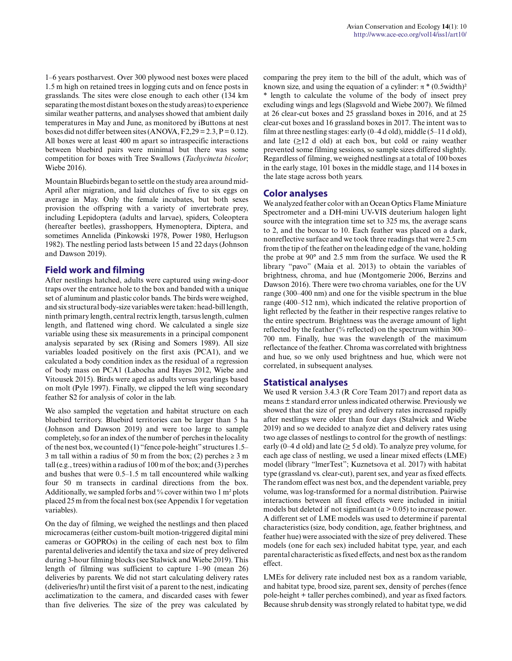1–6 years postharvest. Over 300 plywood nest boxes were placed 1.5 m high on retained trees in logging cuts and on fence posts in grasslands. The sites were close enough to each other (134 km separating the most distant boxes on the study areas) to experience similar weather patterns, and analyses showed that ambient daily temperatures in May and June, as monitored by iButtons at nest boxes did not differ between sites (ANOVA,  $F2,29 = 2.3, P = 0.12$ ). All boxes were at least 400 m apart so intraspecific interactions between bluebird pairs were minimal but there was some competition for boxes with Tree Swallows (*Tachycineta bicolor*; Wiebe 2016).

Mountain Bluebirds began to settle on the study area around mid-April after migration, and laid clutches of five to six eggs on average in May. Only the female incubates, but both sexes provision the offspring with a variety of invertebrate prey, including Lepidoptera (adults and larvae), spiders, Coleoptera (hereafter beetles), grasshoppers, Hymenoptera, Diptera, and sometimes Annelida (Pinkowski 1978, Power 1980, Herlugson 1982). The nestling period lasts between 15 and 22 days (Johnson and Dawson 2019).

## **Field work and filming**

After nestlings hatched, adults were captured using swing-door traps over the entrance hole to the box and banded with a unique set of aluminum and plastic color bands. The birds were weighed, and six structural body-size variables were taken: head-bill length, ninth primary length, central rectrix length, tarsus length, culmen length, and flattened wing chord. We calculated a single size variable using these six measurements in a principal component analysis separated by sex (Rising and Somers 1989). All size variables loaded positively on the first axis (PCA1), and we calculated a body condition index as the residual of a regression of body mass on PCA1 (Labocha and Hayes 2012, Wiebe and Vitousek 2015). Birds were aged as adults versus yearlings based on molt (Pyle 1997). Finally, we clipped the left wing secondary feather S2 for analysis of color in the lab.

We also sampled the vegetation and habitat structure on each bluebird territory. Bluebird territories can be larger than 5 ha (Johnson and Dawson 2019) and were too large to sample completely, so for an index of the number of perches in the locality of the nest box, we counted (1) "fence pole-height" structures 1.5– 3 m tall within a radius of 50 m from the box; (2) perches  $\geq 3$  m tall (e.g., trees) within a radius of 100 m of the box; and (3) perches and bushes that were 0.5–1.5 m tall encountered while walking four 50 m transects in cardinal directions from the box. Additionally, we sampled forbs and % cover within two 1 m² plots placed 25 m from the focal nest box (see Appendix 1 for vegetation variables).

On the day of filming, we weighed the nestlings and then placed microcameras (either custom-built motion-triggered digital mini cameras or GOPROs) in the ceiling of each nest box to film parental deliveries and identify the taxa and size of prey delivered during 3-hour filming blocks (see Stalwick and Wiebe 2019). This length of filming was sufficient to capture 1–90 (mean 26) deliveries by parents. We did not start calculating delivery rates (deliveries/hr) until the first visit of a parent to the nest, indicating acclimatization to the camera, and discarded cases with fewer than five deliveries. The size of the prey was calculated by comparing the prey item to the bill of the adult, which was of known size, and using the equation of a cylinder:  $\pi$ <sup>\*</sup> (0.5width)<sup>2</sup> \* length to calculate the volume of the body of insect prey excluding wings and legs (Slagsvold and Wiebe 2007). We filmed at 26 clear-cut boxes and 25 grassland boxes in 2016, and at 25 clear-cut boxes and 16 grassland boxes in 2017. The intent was to film at three nestling stages: early  $(0-4 d old)$ , middle  $(5-11 d old)$ , and late  $(\geq)$  d old) at each box, but cold or rainy weather prevented some filming sessions, so sample sizes differed slightly. Regardless of filming, we weighed nestlings at a total of 100 boxes in the early stage, 101 boxes in the middle stage, and 114 boxes in the late stage across both years.

## **Color analyses**

We analyzed feather color with an Ocean Optics Flame Miniature Spectrometer and a DH-mini UV-VIS deuterium halogen light source with the integration time set to 325 ms, the average scans to 2, and the boxcar to 10. Each feather was placed on a dark, nonreflective surface and we took three readings that were 2.5 cm from the tip of the feather on the leading edge of the vane, holding the probe at 90° and 2.5 mm from the surface. We used the R library "pavo" (Maia et al. 2013) to obtain the variables of brightness, chroma, and hue (Montgomerie 2006, Berzins and Dawson 2016). There were two chroma variables, one for the UV range (300–400 nm) and one for the visible spectrum in the blue range (400–512 nm), which indicated the relative proportion of light reflected by the feather in their respective ranges relative to the entire spectrum. Brightness was the average amount of light reflected by the feather (% reflected) on the spectrum within 300– 700 nm. Finally, hue was the wavelength of the maximum reflectance of the feather. Chroma was correlated with brightness and hue, so we only used brightness and hue, which were not correlated, in subsequent analyses.

## **Statistical analyses**

We used R version 3.4.3 (R Core Team 2017) and report data as means ± standard error unless indicated otherwise. Previously we showed that the size of prey and delivery rates increased rapidly after nestlings were older than four days (Stalwick and Wiebe 2019) and so we decided to analyze diet and delivery rates using two age classes of nestlings to control for the growth of nestlings: early (0–4 d old) and late ( $\geq$  5 d old). To analyze prey volume, for each age class of nestling, we used a linear mixed effects (LME) model (library "lmerTest"; Kuznetsova et al. 2017) with habitat type (grassland vs. clear-cut), parent sex, and year as fixed effects. The random effect was nest box, and the dependent variable, prey volume, was log-transformed for a normal distribution. Pairwise interactions between all fixed effects were included in initial models but deleted if not significant ( $\alpha$  > 0.05) to increase power. A different set of LME models was used to determine if parental characteristics (size, body condition, age, feather brightness, and feather hue) were associated with the size of prey delivered. These models (one for each sex) included habitat type, year, and each parental characteristic as fixed effects, and nest box as the random effect.

LMEs for delivery rate included nest box as a random variable, and habitat type, brood size, parent sex, density of perches (fence pole-height + taller perches combined), and year as fixed factors. Because shrub density was strongly related to habitat type, we did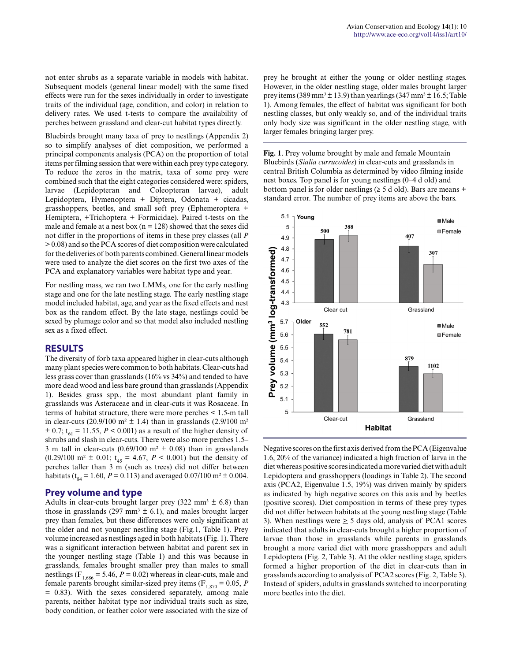not enter shrubs as a separate variable in models with habitat. Subsequent models (general linear model) with the same fixed effects were run for the sexes individually in order to investigate traits of the individual (age, condition, and color) in relation to delivery rates. We used t-tests to compare the availability of perches between grassland and clear-cut habitat types directly.

Bluebirds brought many taxa of prey to nestlings (Appendix 2) so to simplify analyses of diet composition, we performed a principal components analysis (PCA) on the proportion of total items per filming session that were within each prey type category. To reduce the zeros in the matrix, taxa of some prey were combined such that the eight categories considered were: spiders, larvae (Lepidopteran and Coleopteran larvae), adult Lepidoptera, Hymenoptera + Diptera, Odonata + cicadas, grasshoppers, beetles, and small soft prey (Ephemeroptera + Hemiptera, +Trichoptera + Formicidae). Paired t-tests on the male and female at a nest box ( $n = 128$ ) showed that the sexes did not differ in the proportions of items in these prey classes (all *P* > 0.08) and so the PCA scores of diet composition were calculated for the deliveries of both parents combined. General linear models were used to analyze the diet scores on the first two axes of the PCA and explanatory variables were habitat type and year.

For nestling mass, we ran two LMMs, one for the early nestling stage and one for the late nestling stage. The early nestling stage model included habitat, age, and year as the fixed effects and nest box as the random effect. By the late stage, nestlings could be sexed by plumage color and so that model also included nestling sex as a fixed effect.

#### **RESULTS**

The diversity of forb taxa appeared higher in clear-cuts although many plant species were common to both habitats. Clear-cuts had less grass cover than grasslands (16% vs 34%) and tended to have more dead wood and less bare ground than grasslands (Appendix 1). Besides grass spp., the most abundant plant family in grasslands was Asteraceae and in clear-cuts it was Rosaceae. In terms of habitat structure, there were more perches < 1.5-m tall in clear-cuts (20.9/100 m<sup>2</sup>  $\pm$  1.4) than in grasslands (2.9/100 m<sup>2</sup>  $\pm$  0.7; t<sub>61</sub> = 11.55, *P* < 0.001) as a result of the higher density of shrubs and slash in clear-cuts. There were also more perches 1.5– 3 m tall in clear-cuts (0.69/100 m<sup>2</sup>  $\pm$  0.08) than in grasslands  $(0.29/100 \text{ m}^2 \pm 0.01; t_{45} = 4.67, P < 0.001)$  but the density of perches taller than 3 m (such as trees) did not differ between habitats ( $t_{sa}$  = 1.60, *P* = 0.113) and averaged 0.07/100 m<sup>2</sup> ± 0.004.

## **Prey volume and type**

Adults in clear-cuts brought larger prey (322 mm<sup>3</sup>  $\pm$  6.8) than those in grasslands (297 mm<sup>3</sup>  $\pm$  6.1), and males brought larger prey than females, but these differences were only significant at the older and not younger nestling stage (Fig.1, Table 1). Prey volume increased as nestlings aged in both habitats (Fig. 1). There was a significant interaction between habitat and parent sex in the younger nestling stage (Table 1) and this was because in grasslands, females brought smaller prey than males to small nestlings ( $F<sub>1,686</sub> = 5.46$ ,  $P = 0.02$ ) whereas in clear-cuts, male and female parents brought similar-sized prey items ( $F_{1,870} = 0.05$ , *P*  $= 0.83$ ). With the sexes considered separately, among male parents, neither habitat type nor individual traits such as size, body condition, or feather color were associated with the size of prey he brought at either the young or older nestling stages. However, in the older nestling stage, older males brought larger prey items (389 mm<sup>3</sup>  $\pm$  13.9) than yearlings (347 mm<sup>3</sup>  $\pm$  16.5; Table 1). Among females, the effect of habitat was significant for both nestling classes, but only weakly so, and of the individual traits only body size was significant in the older nestling stage, with larger females bringing larger prey.

**Fig. 1**. Prey volume brought by male and female Mountain Bluebirds (*Sialia currucoides*) in clear-cuts and grasslands in central British Columbia as determined by video filming inside nest boxes. Top panel is for young nestlings (0–4 d old) and bottom panel is for older nestlings ( $\geq 5$  d old). Bars are means + standard error. The number of prey items are above the bars.



Negative scores on the first axis derived from the PCA (Eigenvalue 1.6, 20% of the variance) indicated a high fraction of larva in the diet whereas positive scores indicated a more varied diet with adult Lepidoptera and grasshoppers (loadings in Table 2). The second axis (PCA2, Eigenvalue 1.5, 19%) was driven mainly by spiders as indicated by high negative scores on this axis and by beetles (positive scores). Diet composition in terms of these prey types did not differ between habitats at the young nestling stage (Table 3). When nestlings were  $\geq$  5 days old, analysis of PCA1 scores indicated that adults in clear-cuts brought a higher proportion of larvae than those in grasslands while parents in grasslands brought a more varied diet with more grasshoppers and adult Lepidoptera (Fig. 2, Table 3). At the older nestling stage, spiders formed a higher proportion of the diet in clear-cuts than in grasslands according to analysis of PCA2 scores (Fig. 2, Table 3). Instead of spiders, adults in grasslands switched to incorporating more beetles into the diet.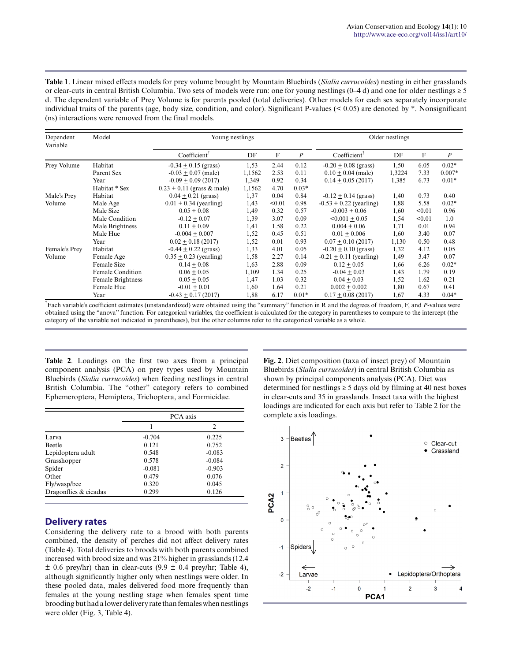**Table 1**. Linear mixed effects models for prey volume brought by Mountain Bluebirds (*Sialia currucoides*) nesting in either grasslands or clear-cuts in central British Columbia. Two sets of models were run: one for young nestlings  $(0-4d)$  and one for older nestlings  $\geq 5$ d. The dependent variable of Prey Volume is for parents pooled (total deliveries). Other models for each sex separately incorporate individual traits of the parents (age, body size, condition, and color). Significant P-values (< 0.05) are denoted by \*. Nonsignificant (ns) interactions were removed from the final models.

| Dependent<br>Variable | Model             | Young nestlings                |        |        | Older nestlings  |                             |        |        |                  |
|-----------------------|-------------------|--------------------------------|--------|--------|------------------|-----------------------------|--------|--------|------------------|
|                       |                   | Coefficient <sup>†</sup>       | DF     | F      | $\boldsymbol{P}$ | Coefficient <sup>†</sup>    | DF     | F      | $\boldsymbol{P}$ |
| Prey Volume           | Habitat           | $-0.34 \pm 0.15$ (grass)       | 1,53   | 2.44   | 0.12             | $-0.20 \pm 0.08$ (grass)    | 1,50   | 6.05   | $0.02*$          |
|                       | Parent Sex        | $-0.03 + 0.07$ (male)          | 1,1562 | 2.53   | 0.11             | $0.10 + 0.04$ (male)        | 1,3224 | 7.33   | $0.007*$         |
|                       | Year              | $-0.09 + 0.09(2017)$           | 1,349  | 0.92   | 0.34             | $0.14 + 0.05(2017)$         | 1,385  | 6.73   | $0.01*$          |
|                       | Habitat * Sex     | $0.23 \pm 0.11$ (grass & male) | 1,1562 | 4.70   | $0.03*$          |                             |        |        |                  |
| Male's Prey           | Habitat           | $0.04 + 0.21$ (grass)          | 1,37   | 0.04   | 0.84             | $-0.12 + 0.14$ (grass)      | 1,40   | 0.73   | 0.40             |
| Volume                | Male Age          | $0.01 + 0.34$ (yearling)       | 1,43   | < 0.01 | 0.98             | $-0.53 + 0.22$ (yearling)   | 1,88   | 5.58   | $0.02*$          |
|                       | Male Size         | $0.05 + 0.08$                  | 1,49   | 0.32   | 0.57             | $-0.003 \pm 0.06$           | 1,60   | < 0.01 | 0.96             |
|                       | Male Condition    | $-0.12 + 0.07$                 | 1,39   | 3.07   | 0.09             | $< 0.001 + 0.05$            | 1,54   | < 0.01 | 1.0              |
|                       | Male Brightness   | $0.11 + 0.09$                  | 1,41   | 1.58   | 0.22             | $0.004 + 0.06$              | 1,71   | 0.01   | 0.94             |
|                       | Male Hue          | $-0.004 + 0.007$               | 1,52   | 0.45   | 0.51             | $0.01 + 0.006$              | 1,60   | 3.40   | 0.07             |
|                       | Year              | $0.02 + 0.18(2017)$            | 1,52   | 0.01   | 0.93             | $0.07 + 0.10(2017)$         | 1,130  | 0.50   | 0.48             |
| Female's Prey         | Habitat           | $-0.44 + 0.22$ (grass)         | 1,33   | 4.01   | 0.05             | $-0.20 \pm 0.10$ (grass)    | 1,32   | 4.12   | 0.05             |
| Volume                | Female Age        | $0.35 \pm 0.23$ (yearling)     | 1,58   | 2.27   | 0.14             | $-0.21 \pm 0.11$ (yearling) | 1,49   | 3.47   | 0.07             |
|                       | Female Size       | $0.14 + 0.08$                  | 1,63   | 2.88   | 0.09             | $0.12 + 0.05$               | 1,66   | 6.26   | $0.02*$          |
|                       | Female Condition  | $0.06 + 0.05$                  | 1,109  | 1.34   | 0.25             | $-0.04 + 0.03$              | 1.43   | 1.79   | 0.19             |
|                       | Female Brightness | $0.05 + 0.05$                  | 1,47   | 1.03   | 0.32             | $0.04 + 0.03$               | 1,52   | 1.62   | 0.21             |
|                       | Female Hue        | $-0.01 + 0.01$                 | 1,60   | 1.64   | 0.21             | $0.002 + 0.002$             | 1,80   | 0.67   | 0.41             |
|                       | Year              | $-0.43 + 0.17(2017)$           | 1,88   | 6.17   | $0.01*$          | $0.17 + 0.08(2017)$         | 1,67   | 4.33   | $0.04*$          |

† Each variable's coefficient estimates (unstandardized) were obtained using the "summary" function in R and the degrees of freedom, F, and *P*-values were obtained using the "anova" function. For categorical variables, the coefficient is calculated for the category in parentheses to compare to the intercept (the category of the variable not indicated in parentheses), but the other columns refer to the categorical variable as a whole.

**Table 2**. Loadings on the first two axes from a principal component analysis (PCA) on prey types used by Mountain Bluebirds (*Sialia currucoides*) when feeding nestlings in central British Columbia. The "other" category refers to combined Ephemeroptera, Hemiptera, Trichoptera, and Formicidae.

|                       | PCA axis |                |  |  |
|-----------------------|----------|----------------|--|--|
|                       |          | $\mathfrak{D}$ |  |  |
| Larva                 | $-0.704$ | 0.225          |  |  |
| <b>Beetle</b>         | 0.121    | 0.752          |  |  |
| Lepidoptera adult     | 0.548    | $-0.083$       |  |  |
| Grasshopper           | 0.578    | $-0.084$       |  |  |
| Spider                | $-0.081$ | $-0.903$       |  |  |
| Other                 | 0.479    | 0.076          |  |  |
| Fly/wasp/bee          | 0.320    | 0.045          |  |  |
| Dragonflies & cicadas | 0.299    | 0.126          |  |  |

## **Delivery rates**

Considering the delivery rate to a brood with both parents combined, the density of perches did not affect delivery rates (Table 4). Total deliveries to broods with both parents combined increased with brood size and was 21% higher in grasslands (12.4  $\pm$  0.6 prey/hr) than in clear-cuts (9.9  $\pm$  0.4 prey/hr; Table 4), although significantly higher only when nestlings were older. In these pooled data, males delivered food more frequently than females at the young nestling stage when females spent time brooding but had a lower delivery rate than females when nestlings were older (Fig. 3, Table 4).

**Fig. 2**. Diet composition (taxa of insect prey) of Mountain Bluebirds (*Sialia currucoides*) in central British Columbia as shown by principal components analysis (PCA). Diet was determined for nestlings  $\geq$  5 days old by filming at 40 nest boxes in clear-cuts and 35 in grasslands. Insect taxa with the highest loadings are indicated for each axis but refer to Table 2 for the complete axis loadings.

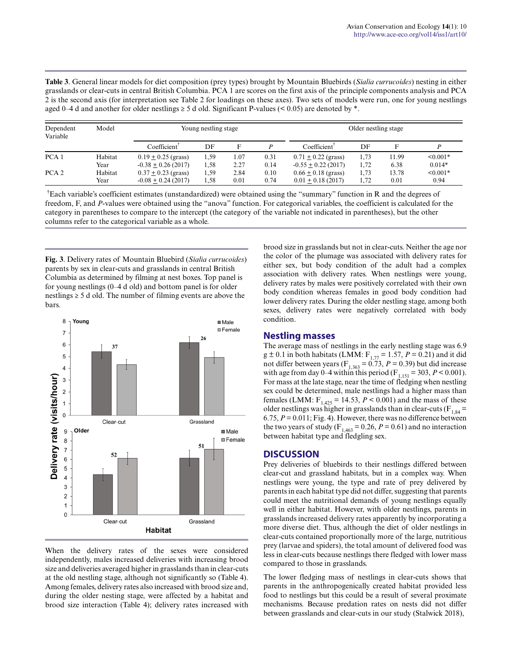**Table 3**. General linear models for diet composition (prey types) brought by Mountain Bluebirds (*Sialia currucoides*) nesting in either grasslands or clear-cuts in central British Columbia. PCA 1 are scores on the first axis of the principle components analysis and PCA 2 is the second axis (for interpretation see Table 2 for loadings on these axes). Two sets of models were run, one for young nestlings aged 0–4 d and another for older nestlings  $\geq$  5 d old. Significant P-values (< 0.05) are denoted by  $*$ .

| Dependent<br>Variable | Model   | Young nestling stage     |      |      | Older nestling stage |                          |      |       |               |
|-----------------------|---------|--------------------------|------|------|----------------------|--------------------------|------|-------|---------------|
|                       |         | Coefficient <sup>T</sup> | DF   | Е    |                      | Coefficient <sup>1</sup> | DF   |       |               |
| PCA <sub>1</sub>      | Habitat | $0.19 \pm 0.25$ (grass)  | 1,59 | 1.07 | 0.31                 | $0.71 \pm 0.22$ (grass)  | 1.73 | 11.99 | $\leq 0.001*$ |
|                       | Year    | $-0.38 \pm 0.26$ (2017)  | 1.58 | 2.27 | 0.14                 | $-0.55 \pm 0.22$ (2017)  | 1,72 | 6.38  | $0.014*$      |
| PCA <sub>2</sub>      | Habitat | $0.37 \pm 0.23$ (grass)  | 1,59 | 2.84 | 0.10                 | $0.66 \pm 0.18$ (grass)  | 1,73 | 13.78 | $< 0.001*$    |
|                       | Year    | $-0.08 + 0.24(2017)$     | 1.58 | 0.01 | 0.74                 | $0.01 + 0.18(2017)$      | 1.72 | 0.01  | 0.94          |

†Each variable's coefficient estimates (unstandardized) were obtained using the "summary" function in R and the degrees of freedom, F, and *P*-values were obtained using the "anova" function. For categorical variables, the coefficient is calculated for the category in parentheses to compare to the intercept (the category of the variable not indicated in parentheses), but the other columns refer to the categorical variable as a whole.

**Fig. 3**. Delivery rates of Mountain Bluebird (*Sialia currucoides*) parents by sex in clear-cuts and grasslands in central British Columbia as determined by filming at nest boxes. Top panel is for young nestlings (0–4 d old) and bottom panel is for older nestlings ≥ 5 d old. The number of filming events are above the bars.



When the delivery rates of the sexes were considered independently, males increased deliveries with increasing brood size and deliveries averaged higher in grasslands than in clear-cuts at the old nestling stage, although not significantly so (Table 4). Among females, delivery rates also increased with brood size and, during the older nesting stage, were affected by a habitat and brood size interaction (Table 4); delivery rates increased with

brood size in grasslands but not in clear-cuts. Neither the age nor the color of the plumage was associated with delivery rates for either sex, but body condition of the adult had a complex association with delivery rates. When nestlings were young, delivery rates by males were positively correlated with their own body condition whereas females in good body condition had lower delivery rates. During the older nestling stage, among both sexes, delivery rates were negatively correlated with body condition.

## **Nestling masses**

The average mass of nestlings in the early nestling stage was 6.9  $g \pm 0.1$  in both habitats (LMM:  $F_{1,77} = 1.57$ ,  $P = 0.21$ ) and it did not differ between years ( $F_{1,363} = 0.73$ ,  $P = 0.39$ ) but did increase with age from day 0–4 within this period ( $F_{1,151} = 303, P \le 0.001$ ). For mass at the late stage, near the time of fledging when nestling sex could be determined, male nestlings had a higher mass than females (LMM:  $F_{1,425} = 14.53$ ,  $P < 0.001$ ) and the mass of these older nestlings was higher in grasslands than in clear-cuts ( $F_{1,84}$  = 6.75, *P* = 0.011; Fig. 4). However, there was no difference between the two years of study ( $F_{1,463} = 0.26$ ,  $P = 0.61$ ) and no interaction between habitat type and fledgling sex.

# **DISCUSSION**

Prey deliveries of bluebirds to their nestlings differed between clear-cut and grassland habitats, but in a complex way. When nestlings were young, the type and rate of prey delivered by parents in each habitat type did not differ, suggesting that parents could meet the nutritional demands of young nestlings equally well in either habitat. However, with older nestlings, parents in grasslands increased delivery rates apparently by incorporating a more diverse diet. Thus, although the diet of older nestlings in clear-cuts contained proportionally more of the large, nutritious prey (larvae and spiders), the total amount of delivered food was less in clear-cuts because nestlings there fledged with lower mass compared to those in grasslands.

The lower fledging mass of nestlings in clear-cuts shows that parents in the anthropogenically created habitat provided less food to nestlings but this could be a result of several proximate mechanisms. Because predation rates on nests did not differ between grasslands and clear-cuts in our study (Stalwick 2018),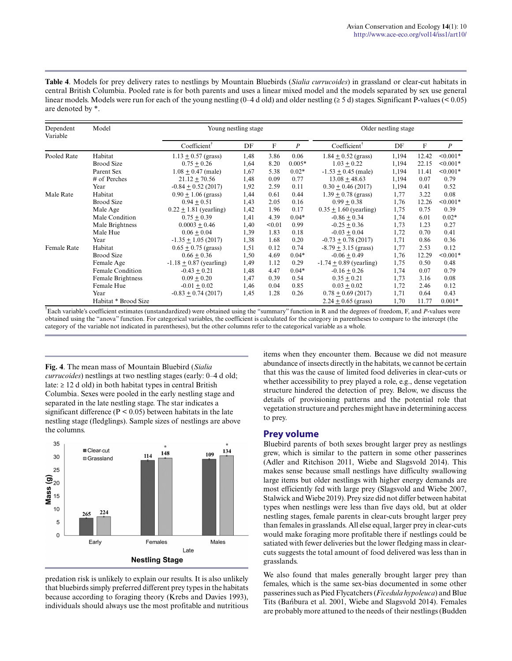**Table 4**. Models for prey delivery rates to nestlings by Mountain Bluebirds (*Sialia currucoides*) in grassland or clear-cut habitats in central British Columbia. Pooled rate is for both parents and uses a linear mixed model and the models separated by sex use general linear models. Models were run for each of the young nestling (0–4 d old) and older nestling ( $\geq 5$  d) stages. Significant P-values ( $\leq 0.05$ ) are denoted by \*.

| Dependent<br>Variable | Model                | Young nestling stage        |      |        | Older nestling stage |                             |       |       |                  |
|-----------------------|----------------------|-----------------------------|------|--------|----------------------|-----------------------------|-------|-------|------------------|
|                       |                      | Coefficient <sup>†</sup>    | DF   | F      | $\boldsymbol{P}$     | Coefficient <sup>T</sup>    | DF    | F     | $\boldsymbol{P}$ |
| Pooled Rate           | Habitat              | $1.13 \pm 0.57$ (grass)     | 1,48 | 3.86   | 0.06                 | $1.84 \pm 0.52$ (grass)     | 1,194 | 12.42 | $< 0.001*$       |
|                       | <b>Brood Size</b>    | $0.75 + 0.26$               | 1,64 | 8.20   | $0.005*$             | $1.03 + 0.22$               | 1,194 | 22.15 | $< 0.001*$       |
|                       | Parent Sex           | $1.08 \pm 0.47$ (male)      | 1,67 | 5.38   | $0.02*$              | $-1.53 \pm 0.45$ (male)     | 1,194 | 11.41 | $< 0.001*$       |
|                       | # of Perches         | $21.12 + 70.56$             | 1,48 | 0.09   | 0.77                 | $13.08 + 48.63$             | 1,194 | 0.07  | 0.79             |
|                       | Year                 | $-0.84 + 0.52(2017)$        | 1,92 | 2.59   | 0.11                 | $0.30 + 0.46(2017)$         | 1,194 | 0.41  | 0.52             |
| Male Rate             | Habitat              | $0.90 \pm 1.06$ (grass)     | 1,44 | 0.61   | 0.44                 | $1.39 \pm 0.78$ (grass)     | 1,77  | 3.22  | 0.08             |
|                       | <b>Brood Size</b>    | $0.94 \pm 0.51$             | 1,43 | 2.05   | 0.16                 | $0.99 \pm 0.38$             | 1,76  | 12.26 | $< 0.001*$       |
|                       | Male Age             | $0.22 \pm 1.81$ (yearling)  | 1,42 | 1.96   | 0.17                 | $0.35 \pm 1.60$ (yearling)  | 1,75  | 0.75  | 0.39             |
|                       | Male Condition       | $0.75 + 0.39$               | 1,41 | 4.39   | $0.04*$              | $-0.86 + 0.34$              | 1,74  | 6.01  | $0.02*$          |
|                       | Male Brightness      | $0.0003 + 0.46$             | 1,40 | < 0.01 | 0.99                 | $-0.25 \pm 0.36$            | 1,73  | 1.23  | 0.27             |
|                       | Male Hue             | $0.06 + 0.04$               | 1,39 | 1.83   | 0.18                 | $-0.03 \pm 0.04$            | 1,72  | 0.70  | 0.41             |
|                       | Year                 | $-1.35 \pm 1.05$ (2017)     | 1,38 | 1.68   | 0.20                 | $-0.73 \pm 0.78$ (2017)     | 1,71  | 0.86  | 0.36             |
| <b>Female Rate</b>    | Habitat              | $0.65 \pm 0.75$ (grass)     | 1,51 | 0.12   | 0.74                 | $-8.79 \pm 3.15$ (grass)    | 1,77  | 2.53  | 0.12             |
|                       | <b>Brood Size</b>    | $0.66 + 0.36$               | 1,50 | 4.69   | $0.04*$              | $-0.06 + 0.49$              | 1,76  | 12.29 | $< 0.001*$       |
|                       | Female Age           | $-1.18 \pm 0.87$ (yearling) | 1,49 | 1.12   | 0.29                 | $-1.74 \pm 0.89$ (yearling) | 1,75  | 0.50  | 0.48             |
|                       | Female Condition     | $-0.43 + 0.21$              | 1,48 | 4.47   | $0.04*$              | $-0.16 \pm 0.26$            | 1,74  | 0.07  | 0.79             |
|                       | Female Brightness    | $0.09 + 0.20$               | 1,47 | 0.39   | 0.54                 | $0.35 + 0.21$               | 1,73  | 3.16  | 0.08             |
|                       | Female Hue           | $-0.01 \pm 0.02$            | 1,46 | 0.04   | 0.85                 | $0.03 \pm 0.02$             | 1,72  | 2.46  | 0.12             |
|                       | Year                 | $-0.83 \pm 0.74$ (2017)     | 1,45 | 1.28   | 0.26                 | $0.78 \pm 0.69$ (2017)      | 1,71  | 0.64  | 0.43             |
|                       | Habitat * Brood Size |                             |      |        |                      | $2.24 + 0.65$ (grass)       | 1,70  | 11.77 | $0.001*$         |

† Each variable's coefficient estimates (unstandardized) were obtained using the "summary" function in R and the degrees of freedom, F, and *P*-values were obtained using the "anova" function. For categorical variables, the coefficient is calculated for the category in parentheses to compare to the intercept (the category of the variable not indicated in parentheses), but the other columns refer to the categorical variable as a whole.

**Fig. 4**. The mean mass of Mountain Bluebird (*Sialia currucoides*) nestlings at two nestling stages (early: 0–4 d old; late: ≥ 12 d old) in both habitat types in central British Columbia. Sexes were pooled in the early nestling stage and separated in the late nestling stage. The star indicates a significant difference ( $P < 0.05$ ) between habitats in the late nestling stage (fledglings). Sample sizes of nestlings are above the columns.



predation risk is unlikely to explain our results. It is also unlikely that bluebirds simply preferred different prey types in the habitats because according to foraging theory (Krebs and Davies 1993), individuals should always use the most profitable and nutritious items when they encounter them. Because we did not measure abundance of insects directly in the habitats, we cannot be certain that this was the cause of limited food deliveries in clear-cuts or whether accessibility to prey played a role, e.g., dense vegetation structure hindered the detection of prey. Below, we discuss the details of provisioning patterns and the potential role that vegetation structure and perches might have in determining access to prey.

## **Prey volume**

Bluebird parents of both sexes brought larger prey as nestlings grew, which is similar to the pattern in some other passerines (Adler and Ritchison 2011, Wiebe and Slagsvold 2014). This makes sense because small nestlings have difficulty swallowing large items but older nestlings with higher energy demands are most efficiently fed with large prey (Slagsvold and Wiebe 2007, Stalwick and Wiebe 2019). Prey size did not differ between habitat types when nestlings were less than five days old, but at older nestling stages, female parents in clear-cuts brought larger prey than females in grasslands. All else equal, larger prey in clear-cuts would make foraging more profitable there if nestlings could be satiated with fewer deliveries but the lower fledging mass in clearcuts suggests the total amount of food delivered was less than in grasslands.

We also found that males generally brought larger prey than females, which is the same sex-bias documented in some other passerines such as Pied Flycatchers (*Ficedula hypoleuca*) and Blue Tits (Bańbura et al. 2001, Wiebe and Slagsvold 2014). Females are probably more attuned to the needs of their nestlings (Budden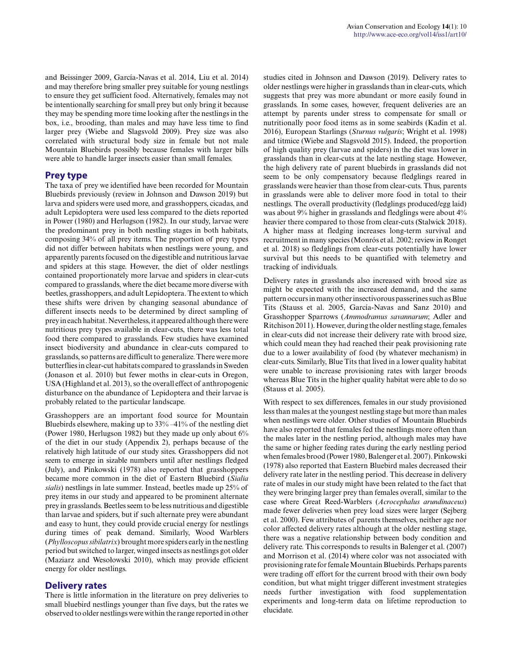and Beissinger 2009, García-Navas et al. 2014, Liu et al. 2014) and may therefore bring smaller prey suitable for young nestlings to ensure they get sufficient food. Alternatively, females may not be intentionally searching for small prey but only bring it because they may be spending more time looking after the nestlings in the box, i.e., brooding, than males and may have less time to find larger prey (Wiebe and Slagsvold 2009). Prey size was also correlated with structural body size in female but not male Mountain Bluebirds possibly because females with larger bills were able to handle larger insects easier than small females.

# **Prey type**

The taxa of prey we identified have been recorded for Mountain Bluebirds previously (review in Johnson and Dawson 2019) but larva and spiders were used more, and grasshoppers, cicadas, and adult Lepidoptera were used less compared to the diets reported in Power (1980) and Herlugson (1982). In our study, larvae were the predominant prey in both nestling stages in both habitats, composing 34% of all prey items. The proportion of prey types did not differ between habitats when nestlings were young, and apparently parents focused on the digestible and nutritious larvae and spiders at this stage. However, the diet of older nestlings contained proportionately more larvae and spiders in clear-cuts compared to grasslands, where the diet became more diverse with beetles, grasshoppers, and adult Lepidoptera. The extent to which these shifts were driven by changing seasonal abundance of different insects needs to be determined by direct sampling of prey in each habitat. Nevertheless, it appeared although there were nutritious prey types available in clear-cuts, there was less total food there compared to grasslands. Few studies have examined insect biodiversity and abundance in clear-cuts compared to grasslands, so patterns are difficult to generalize. There were more butterflies in clear-cut habitats compared to grasslands in Sweden (Jonason et al. 2010) but fewer moths in clear-cuts in Oregon, USA (Highland et al. 2013), so the overall effect of anthropogenic disturbance on the abundance of Lepidoptera and their larvae is probably related to the particular landscape.

Grasshoppers are an important food source for Mountain Bluebirds elsewhere, making up to 33% –41% of the nestling diet (Power 1980, Herlugson 1982) but they made up only about 6% of the diet in our study (Appendix 2), perhaps because of the relatively high latitude of our study sites. Grasshoppers did not seem to emerge in sizable numbers until after nestlings fledged (July), and Pinkowski (1978) also reported that grasshoppers became more common in the diet of Eastern Bluebird (*Sialia sialis*) nestlings in late summer. Instead, beetles made up 25% of prey items in our study and appeared to be prominent alternate prey in grasslands. Beetles seem to be less nutritious and digestible than larvae and spiders, but if such alternate prey were abundant and easy to hunt, they could provide crucial energy for nestlings during times of peak demand. Similarly, Wood Warblers (*Phylloscopus sibilatrix*) brought more spiders early in the nestling period but switched to larger, winged insects as nestlings got older (Maziarz and Wesołowski 2010), which may provide efficient energy for older nestlings.

## **Delivery rates**

There is little information in the literature on prey deliveries to small bluebird nestlings younger than five days, but the rates we observed to older nestlings were within the range reported in other studies cited in Johnson and Dawson (2019). Delivery rates to older nestlings were higher in grasslands than in clear-cuts, which suggests that prey was more abundant or more easily found in grasslands. In some cases, however, frequent deliveries are an attempt by parents under stress to compensate for small or nutritionally poor food items as in some seabirds (Kadin et al. 2016), European Starlings (*Sturnus vulgaris*; Wright et al. 1998) and titmice (Wiebe and Slagsvold 2015). Indeed, the proportion of high quality prey (larvae and spiders) in the diet was lower in grasslands than in clear-cuts at the late nestling stage. However, the high delivery rate of parent bluebirds in grasslands did not seem to be only compensatory because fledglings reared in grasslands were heavier than those from clear-cuts. Thus, parents in grasslands were able to deliver more food in total to their nestlings. The overall productivity (fledglings produced/egg laid) was about 9% higher in grasslands and fledglings were about 4% heavier there compared to those from clear-cuts (Stalwick 2018). A higher mass at fledging increases long-term survival and recruitment in many species (Monrós et al. 2002; review in Ronget et al. 2018) so fledglings from clear-cuts potentially have lower survival but this needs to be quantified with telemetry and tracking of individuals.

Delivery rates in grasslands also increased with brood size as might be expected with the increased demand, and the same pattern occurs in many other insectivorous passerines such as Blue Tits (Stauss et al. 2005, García-Navas and Sanz 2010) and Grasshopper Sparrows (*Ammodramus savannarum*; Adler and Ritchison 2011). However, during the older nestling stage, females in clear-cuts did not increase their delivery rate with brood size, which could mean they had reached their peak provisioning rate due to a lower availability of food (by whatever mechanism) in clear-cuts. Similarly, Blue Tits that lived in a lower quality habitat were unable to increase provisioning rates with larger broods whereas Blue Tits in the higher quality habitat were able to do so (Stauss et al. 2005).

With respect to sex differences, females in our study provisioned less than males at the youngest nestling stage but more than males when nestlings were older. Other studies of Mountain Bluebirds have also reported that females fed the nestlings more often than the males later in the nestling period, although males may have the same or higher feeding rates during the early nestling period when females brood (Power 1980, Balenger et al. 2007). Pinkowski (1978) also reported that Eastern Bluebird males decreased their delivery rate later in the nestling period. This decrease in delivery rate of males in our study might have been related to the fact that they were bringing larger prey than females overall, similar to the case where Great Reed-Warblers (*Acrocephalus arundinaceus*) made fewer deliveries when prey load sizes were larger (Sejberg et al. 2000). Few attributes of parents themselves, neither age nor color affected delivery rates although at the older nestling stage, there was a negative relationship between body condition and delivery rate. This corresponds to results in Balenger et al. (2007) and Morrison et al. (2014) where color was not associated with provisioning rate for female Mountain Bluebirds. Perhaps parents were trading off effort for the current brood with their own body condition, but what might trigger different investment strategies needs further investigation with food supplementation experiments and long-term data on lifetime reproduction to elucidate.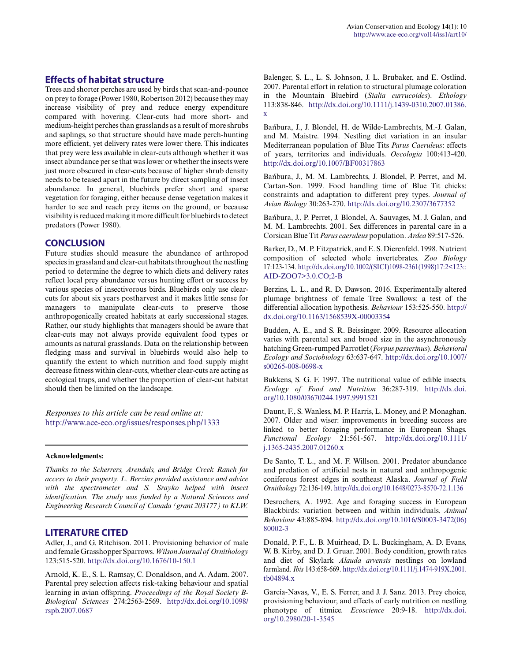## **Effects of habitat structure**

Trees and shorter perches are used by birds that scan-and-pounce on prey to forage (Power 1980, Robertson 2012) because they may increase visibility of prey and reduce energy expenditure compared with hovering. Clear-cuts had more short- and medium-height perches than grasslands as a result of more shrubs and saplings, so that structure should have made perch-hunting more efficient, yet delivery rates were lower there. This indicates that prey were less available in clear-cuts although whether it was insect abundance per se that was lower or whether the insects were just more obscured in clear-cuts because of higher shrub density needs to be teased apart in the future by direct sampling of insect abundance. In general, bluebirds prefer short and sparse vegetation for foraging, either because dense vegetation makes it harder to see and reach prey items on the ground, or because visibility is reduced making it more difficult for bluebirds to detect predators (Power 1980).

#### **CONCLUSION**

Future studies should measure the abundance of arthropod species in grassland and clear-cut habitats throughout the nestling period to determine the degree to which diets and delivery rates reflect local prey abundance versus hunting effort or success by various species of insectivorous birds. Bluebirds only use clearcuts for about six years postharvest and it makes little sense for managers to manipulate clear-cuts to preserve those anthropogenically created habitats at early successional stages. Rather, our study highlights that managers should be aware that clear-cuts may not always provide equivalent food types or amounts as natural grasslands. Data on the relationship between fledging mass and survival in bluebirds would also help to quantify the extent to which nutrition and food supply might decrease fitness within clear-cuts, whether clear-cuts are acting as ecological traps, and whether the proportion of clear-cut habitat should then be limited on the landscape.

*Responses to this article can be read online at:* <http://www.ace-eco.org/issues/responses.php/1333>

#### **Acknowledgments:**

*Thanks to the Scherrers, Arendals, and Bridge Creek Ranch for access to their property. L. Berzins provided assistance and advice with the spectrometer and S. Srayko helped with insect identification. The study was funded by a Natural Sciences and Engineering Research Council of Canada (grant 203177) to KLW.*

#### **LITERATURE CITED**

Adler, J., and G. Ritchison. 2011. Provisioning behavior of male and female Grasshopper Sparrows. *Wilson Journal of Ornithology* 123:515-520. [http://dx.doi.org/10.1676/10-150.1](http://dx.doi.org/10.1676%2F10-150.1)

Arnold, K. E., S. L. Ramsay, C. Donaldson, and A. Adam. 2007. Parental prey selection affects risk-taking behaviour and spatial learning in avian offspring. *Proceedings of the Royal Society B-Biological Sciences* 274:2563-2569. [http://dx.doi.org/10.1098/](http://dx.doi.org/10.1098%2Frspb.2007.0687) [rspb.2007.0687](http://dx.doi.org/10.1098%2Frspb.2007.0687)

Balenger, S. L., L. S. Johnson, J. L. Brubaker, and E. Ostlind. 2007. Parental effort in relation to structural plumage coloration in the Mountain Bluebird (*Sialia currucoides*). *Ethology* 113:838-846. [http://dx.doi.org/10.1111/j.1439-0310.2007.01386.](http://dx.doi.org/10.1111%2Fj.1439-0310.2007.01386.x) [x](http://dx.doi.org/10.1111%2Fj.1439-0310.2007.01386.x) 

Bańbura, J., J. Blondel, H. de Wilde-Lambrechts, M.-J. Galan, and M. Maistre. 1994. Nestling diet variation in an insular Mediterranean population of Blue Tits *Parus Caeruleus*: effects of years, territories and individuals. *Oecologia* 100:413-420. [http://dx.doi.org/10.1007/BF00317863](http://dx.doi.org/10.1007%2FBF00317863)

Bańbura, J., M. M. Lambrechts, J. Blondel, P. Perret, and M. Cartan-Son. 1999. Food handling time of Blue Tit chicks: constraints and adaptation to different prey types. *Journal of Avian Biology* 30:263-270. [http://dx.doi.org/10.2307/3677352](http://dx.doi.org/10.2307%2F3677352)

Bańbura, J., P. Perret, J. Blondel, A. Sauvages, M. J. Galan, and M. M. Lambrechts. 2001. Sex differences in parental care in a Corsican Blue Tit *Parus caeruleus* population. *Ardea* 89:517-526.

Barker, D., M. P. Fitzpatrick, and E. S. Dierenfeld. 1998. Nutrient composition of selected whole invertebrates. *Zoo Biology* 17:123-134. [http://dx.doi.org/10.1002/\(SICI\)1098-2361\(1998\)17:2<123::](http://dx.doi.org/10.1002%2F%28SICI%291098-2361%281998%2917%3A2%3C123%3A%3AAID-ZOO7%3E3.0.CO%3B2-B) [AID-ZOO7>3.0.CO;2-B](http://dx.doi.org/10.1002%2F%28SICI%291098-2361%281998%2917%3A2%3C123%3A%3AAID-ZOO7%3E3.0.CO%3B2-B)

Berzins, L. L., and R. D. Dawson. 2016. Experimentally altered plumage brightness of female Tree Swallows: a test of the differential allocation hypothesis. *Behaviour* 153:525-550. [http://](http://dx.doi.org/10.1163%2F1568539X-00003354) [dx.doi.org/10.1163/1568539X-00003354](http://dx.doi.org/10.1163%2F1568539X-00003354)

Budden, A. E., and S. R. Beissinger. 2009. Resource allocation varies with parental sex and brood size in the asynchronously hatching Green-rumped Parrotlet (*Forpus passerinus*). *Behavioral Ecology and Sociobiology* 63:637-647. [http://dx.doi.org/10.1007/](http://dx.doi.org/10.1007%2Fs00265-008-0698-x) [s00265-008-0698-x](http://dx.doi.org/10.1007%2Fs00265-008-0698-x) 

Bukkens, S. G. F. 1997. The nutritional value of edible insects. *Ecology of Food and Nutrition* 36:287-319. [http://dx.doi.](http://dx.doi.org/10.1080%2F03670244.1997.9991521) [org/10.1080/03670244.1997.9991521](http://dx.doi.org/10.1080%2F03670244.1997.9991521) 

Daunt, F., S. Wanless, M. P. Harris, L. Money, and P. Monaghan. 2007. Older and wiser: improvements in breeding success are linked to better foraging performance in European Shags. *Functional Ecology* 21:561-567. [http://dx.doi.org/10.1111/](http://dx.doi.org/10.1111%2Fj.1365-2435.2007.01260.x) [j.1365-2435.2007.01260.x](http://dx.doi.org/10.1111%2Fj.1365-2435.2007.01260.x)

De Santo, T. L., and M. F. Willson. 2001. Predator abundance and predation of artificial nests in natural and anthropogenic coniferous forest edges in southeast Alaska. *Journal of Field Ornithology* 72:136-149. [http://dx.doi.org/10.1648/0273-8570-72.1.136](http://dx.doi.org/10.1648%2F0273-8570-72.1.136) 

Desrochers, A. 1992. Age and foraging success in European Blackbirds: variation between and within individuals. *Animal Behaviour* 43:885-894. [http://dx.doi.org/10.1016/S0003-3472\(06\)](http://dx.doi.org/10.1016%2FS0003-3472%2806%2980002-3) [80002-3](http://dx.doi.org/10.1016%2FS0003-3472%2806%2980002-3) 

Donald, P. F., L. B. Muirhead, D. L. Buckingham, A. D. Evans, W. B. Kirby, and D. J. Gruar. 2001. Body condition, growth rates and diet of Skylark *Alauda arvensis* nestlings on lowland farmland. *Ibis* 143:658-669. [http://dx.doi.org/10.1111/j.1474-919X.2001.](http://dx.doi.org/10.1111%2Fj.1474-919X.2001.tb04894.x) [tb04894.x](http://dx.doi.org/10.1111%2Fj.1474-919X.2001.tb04894.x)

García-Navas, V., E. S. Ferrer, and J. J. Sanz. 2013. Prey choice, provisioning behaviour, and effects of early nutrition on nestling phenotype of titmice. *Ecoscience* 20:9-18. [http://dx.doi.](http://dx.doi.org/10.2980%2F20-1-3545) [org/10.2980/20-1-3545](http://dx.doi.org/10.2980%2F20-1-3545)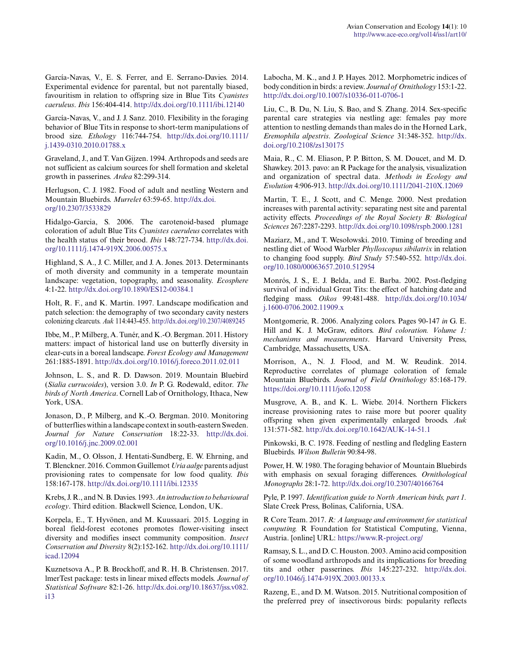García-Navas, V., E. S. Ferrer, and E. Serrano-Davies. 2014. Experimental evidence for parental, but not parentally biased, favouritism in relation to offspring size in Blue Tits *Cyanistes caeruleus*. *Ibis* 156:404-414. [http://dx.doi.org/10.1111/ibi.12140](http://dx.doi.org/10.1111%2Fibi.12140)

García-Navas, V., and J. J. Sanz. 2010. Flexibility in the foraging behavior of Blue Tits in response to short-term manipulations of brood size. *Ethology* 116:744-754. [http://dx.doi.org/10.1111/](http://dx.doi.org/10.1111%2Fj.1439-0310.2010.01788.x) [j.1439-0310.2010.01788.x](http://dx.doi.org/10.1111%2Fj.1439-0310.2010.01788.x)

Graveland, J., and T. Van Gijzen. 1994. Arthropods and seeds are not sufficient as calcium sources for shell formation and skeletal growth in passerines. *Ardea* 82:299-314.

Herlugson, C. J. 1982. Food of adult and nestling Western and Mountain Bluebirds. *Murrelet* 63:59-65. [http://dx.doi.](http://dx.doi.org/10.2307%2F3533829) [org/10.2307/3533829](http://dx.doi.org/10.2307%2F3533829) 

Hidalgo-Garcia, S. 2006. The carotenoid-based plumage coloration of adult Blue Tits *Cyanistes caeruleus* correlates with the health status of their brood. *Ibis* 148:727-734. [http://dx.doi.](http://dx.doi.org/10.1111%2Fj.1474-919X.2006.00575.x) [org/10.1111/j.1474-919X.2006.00575.x](http://dx.doi.org/10.1111%2Fj.1474-919X.2006.00575.x) 

Highland, S. A., J. C. Miller, and J. A. Jones. 2013. Determinants of moth diversity and community in a temperate mountain landscape: vegetation, topography, and seasonality. *Ecosphere* 4:1-22. [http://dx.doi.org/10.1890/ES12-00384.1](http://dx.doi.org/10.1890%2FES12-00384.1) 

Holt, R. F., and K. Martin. 1997. Landscape modification and patch selection: the demography of two secondary cavity nesters colonizing clearcuts. *Auk* 114:443-455. [http://dx.doi.org/10.2307/4089245](http://dx.doi.org/10.2307%2F4089245)

Ibbe, M., P. Milberg, A. Tunér, and K.-O. Bergman. 2011. History matters: impact of historical land use on butterfly diversity in clear-cuts in a boreal landscape. *Forest Ecology and Management* 261:1885-1891. [http://dx.doi.org/10.1016/j.foreco.2011.02.011](http://dx.doi.org/10.1016%2Fj.foreco.2011.02.011)

Johnson, L. S., and R. D. Dawson. 2019. Mountain Bluebird (*Sialia currucoides*), version 3.0. *In* P. G. Rodewald, editor. *The birds of North America*. Cornell Lab of Ornithology, Ithaca, New York, USA.

Jonason, D., P. Milberg, and K.-O. Bergman. 2010. Monitoring of butterflies within a landscape context in south-eastern Sweden. *Journal for Nature Conservation* 18:22-33. [http://dx.doi.](http://dx.doi.org/10.1016%2Fj.jnc.2009.02.001) [org/10.1016/j.jnc.2009.02.001](http://dx.doi.org/10.1016%2Fj.jnc.2009.02.001)

Kadin, M., O. Olsson, J. Hentati-Sundberg, E. W. Ehrning, and T. Blenckner. 2016. Common Guillemot *Uria aalge* parents adjust provisioning rates to compensate for low food quality. *Ibis* 158:167-178. [http://dx.doi.org/10.1111/ibi.12335](http://dx.doi.org/10.1111%2Fibi.12335) 

Krebs, J. R., and N. B. Davies. 1993. *An introduction to behavioural ecology*. Third edition. Blackwell Science, London, UK.

Korpela, E., T. Hyvönen, and M. Kuussaari. 2015. Logging in boreal field-forest ecotones promotes flower-visiting insect diversity and modifies insect community composition. *Insect Conservation and Diversity* 8(2):152-162. [http://dx.doi.org/10.1111/](http://dx.doi.org/10.1111%2Ficad.12094) [icad.12094](http://dx.doi.org/10.1111%2Ficad.12094) 

Kuznetsova A., P. B. Brockhoff, and R. H. B. Christensen. 2017. lmerTest package: tests in linear mixed effects models. *Journal of Statistical Software* 82:1-26. [http://dx.doi.org/10.18637/jss.v082.](http://dx.doi.org/10.18637%2Fjss.v082.i13) [i13](http://dx.doi.org/10.18637%2Fjss.v082.i13)

Labocha, M. K., and J. P. Hayes. 2012. Morphometric indices of body condition in birds: a review. *Journal of Ornithology* 153:1-22. [http://dx.doi.org/10.1007/s10336-011-0706-1](http://dx.doi.org/10.1007%2Fs10336-011-0706-1)

Liu, C., B. Du, N. Liu, S. Bao, and S. Zhang. 2014. Sex-specific parental care strategies via nestling age: females pay more attention to nestling demands than males do in the Horned Lark, *Eremophila alpestris*. *Zoological Science* 31:348-352. [http://dx.](http://dx.doi.org/10.2108%2Fzs130175) [doi.org/10.2108/zs130175](http://dx.doi.org/10.2108%2Fzs130175)

Maia, R., C. M. Eliason, P. P. Bitton, S. M. Doucet, and M. D. Shawkey. 2013. pavo: an R Package for the analysis, visualization and organization of spectral data. *Methods in Ecology and Evolution* 4:906-913. [http://dx.doi.org/10.1111/2041-210X.12069](http://dx.doi.org/10.1111%2F2041-210X.12069) 

Martin, T. E., J. Scott, and C. Menge. 2000. Nest predation increases with parental activity: separating nest site and parental activity effects. *Proceedings of the Royal Society B: Biological Sciences* 267:2287-2293. [http://dx.doi.org/10.1098/rspb.2000.1281](http://dx.doi.org/10.1098%2Frspb.2000.1281) 

Maziarz, M., and T. Wesołowski. 2010. Timing of breeding and nestling diet of Wood Warbler *Phylloscopus sibilatrix* in relation to changing food supply. *Bird Study* 57:540-552. [http://dx.doi.](http://dx.doi.org/10.1080%2F00063657.2010.512954) [org/10.1080/00063657.2010.512954](http://dx.doi.org/10.1080%2F00063657.2010.512954)

Monrós, J. S., E. J. Belda, and E. Barba. 2002. Post-fledging survival of individual Great Tits: the effect of hatching date and fledging mass. *Oikos* 99:481-488. [http://dx.doi.org/10.1034/](http://dx.doi.org/10.1034%2Fj.1600-0706.2002.11909.x) [j.1600-0706.2002.11909.x](http://dx.doi.org/10.1034%2Fj.1600-0706.2002.11909.x)

Montgomerie, R. 2006. Analyzing colors. Pages 90-147 *in* G. E. Hill and K. J. McGraw, editors. *Bird coloration. Volume 1: mechanisms and measurements*. Harvard University Press, Cambridge, Massachusetts, USA.

Morrison, A., N. J. Flood, and M. W. Reudink. 2014. Reproductive correlates of plumage coloration of female Mountain Bluebirds. *Journal of Field Ornithology* 85:168-179. <https://doi.org/10.1111/jofo.12058>

Musgrove, A. B., and K. L. Wiebe. 2014. Northern Flickers increase provisioning rates to raise more but poorer quality offspring when given experimentally enlarged broods. *Auk* 131:571-582. [http://dx.doi.org/10.1642/AUK-14-51.1](http://dx.doi.org/10.1642%2FAUK-14-51.1) 

Pinkowski, B. C. 1978. Feeding of nestling and fledgling Eastern Bluebirds. *Wilson Bulletin* 90:84-98.

Power, H. W. 1980. The foraging behavior of Mountain Bluebirds with emphasis on sexual foraging differences. *Ornithological Monographs* 28:1-72. [http://dx.doi.org/10.2307/40166764](http://dx.doi.org/10.2307%2F40166764)

Pyle, P. 1997. *Identification guide to North American birds, part 1.* Slate Creek Press, Bolinas, California, USA.

R Core Team. 2017. *R: A language and environment for statistical computing.* R Foundation for Statistical Computing, Vienna, Austria. [online] URL: <https://www.R-project.org/>

Ramsay, S. L., and D. C. Houston. 2003. Amino acid composition of some woodland arthropods and its implications for breeding tits and other passerines. *Ibis* 145:227-232. [http://dx.doi.](http://dx.doi.org/10.1046%2Fj.1474-919X.2003.00133.x) [org/10.1046/j.1474-919X.2003.00133.x](http://dx.doi.org/10.1046%2Fj.1474-919X.2003.00133.x) 

Razeng, E., and D. M. Watson. 2015. Nutritional composition of the preferred prey of insectivorous birds: popularity reflects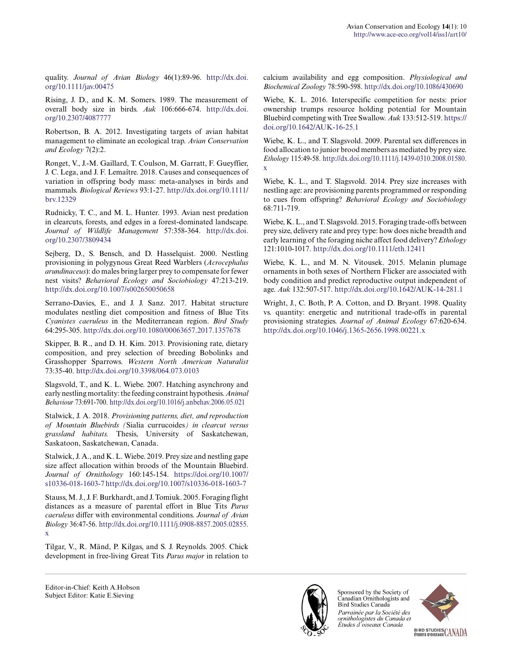quality. *Journal of Avian Biology* 46(1):89-96. [http://dx.doi.](http://dx.doi.org/10.1111%2Fjav.00475) [org/10.1111/jav.00475](http://dx.doi.org/10.1111%2Fjav.00475)

Rising, J. D., and K. M. Somers. 1989. The measurement of overall body size in birds. *Auk* 106:666-674. [http://dx.doi.](http://dx.doi.org/10.2307%2F4087777) [org/10.2307/4087777](http://dx.doi.org/10.2307%2F4087777) 

Robertson, B. A. 2012. Investigating targets of avian habitat management to eliminate an ecological trap. *Avian Conservation and Ecology* 7(2):2.

Ronget, V., J.-M. Gaillard, T. Coulson, M. Garratt, F. Gueyffier, J. C. Lega, and J. F. Lemaître. 2018. Causes and consequences of variation in offspring body mass: meta-analyses in birds and mammals. *Biological Reviews* 93:1-27. [http://dx.doi.org/10.1111/](http://dx.doi.org/10.1111%2Fbrv.12329) [brv.12329](http://dx.doi.org/10.1111%2Fbrv.12329)

Rudnicky, T. C., and M. L. Hunter. 1993. Avian nest predation in clearcuts, forests, and edges in a forest-dominated landscape. *Journal of Wildlife Management* 57:358-364. [http://dx.doi.](http://dx.doi.org/10.2307%2F3809434) [org/10.2307/3809434](http://dx.doi.org/10.2307%2F3809434) 

Sejberg, D., S. Bensch, and D. Hasselquist. 2000. Nestling provisioning in polygynous Great Reed Warblers (*Acrocephalus arundinaceus*): do males bring larger prey to compensate for fewer nest visits? *Behavioral Ecology and Sociobiology* 47:213-219. [http://dx.doi.org/10.1007/s002650050658](http://dx.doi.org/10.1007%2Fs002650050658) 

Serrano-Davies, E., and J. J. Sanz. 2017. Habitat structure modulates nestling diet composition and fitness of Blue Tits *Cyanistes caeruleus* in the Mediterranean region. *Bird Study* 64:295-305. [http://dx.doi.org/10.1080/00063657.2017.1357678](http://dx.doi.org/10.1080%2F00063657.2017.1357678) 

Skipper, B. R., and D. H. Kim. 2013. Provisioning rate, dietary composition, and prey selection of breeding Bobolinks and Grasshopper Sparrows. *Western North American Naturalist* 73:35-40. [http://dx.doi.org/10.3398/064.073.0103](http://dx.doi.org/10.3398%2F064.073.0103)

Slagsvold, T., and K. L. Wiebe. 2007. Hatching asynchrony and early nestling mortality: the feeding constraint hypothesis. *Animal Behaviour* 73:691-700. [http://dx.doi.org/10.1016/j.anbehav.2006.05.021](http://dx.doi.org/10.1016%2Fj.anbehav.2006.05.021) 

Stalwick, J. A. 2018. *Provisioning patterns, diet, and reproduction of Mountain Bluebirds (*Sialia currucoides*) in clearcut versus grassland habitats.* Thesis, University of Saskatchewan, Saskatoon, Saskatchewan, Canada.

Stalwick, J. A., and K. L. Wiebe. 2019. Prey size and nestling gape size affect allocation within broods of the Mountain Bluebird. *Journal of Ornithology* 160:145-154. [https://doi.org/10.1007/](https://doi.org/10.1007/s10336-018-1603-7) [s10336-018-1603-7](https://doi.org/10.1007/s10336-018-1603-7) [http://dx.doi.org/10.1007/s10336-018-1603-7](http://dx.doi.org/10.1007%2Fs10336-018-1603-7)

Stauss, M. J., J. F. Burkhardt, and J. Tomiuk. 2005. Foraging flight distances as a measure of parental effort in Blue Tits *Parus caeruleus* differ with environmental conditions. *Journal of Avian Biology* 36:47-56. [http://dx.doi.org/10.1111/j.0908-8857.2005.02855.](http://dx.doi.org/10.1111%2Fj.0908-8857.2005.02855.x) [x](http://dx.doi.org/10.1111%2Fj.0908-8857.2005.02855.x)

Tilgar, V., R. Mänd, P. Kilgas, and S. J. Reynolds. 2005. Chick development in free-living Great Tits *Parus major* in relation to calcium availability and egg composition. *Physiological and Biochemical Zoology* 78:590-598. [http://dx.doi.org/10.1086/430690](http://dx.doi.org/10.1086%2F430690) 

Wiebe, K. L. 2016. Interspecific competition for nests: prior ownership trumps resource holding potential for Mountain Bluebird competing with Tree Swallow. *Auk* 133:512-519. [https://](https://doi.org/10.1642/AUK-16-25.1) [doi.org/10.1642/AUK-16-25.1](https://doi.org/10.1642/AUK-16-25.1) 

Wiebe, K. L., and T. Slagsvold. 2009. Parental sex differences in food allocation to junior brood members as mediated by prey size. *Ethology* 115:49-58. [http://dx.doi.org/10.1111/j.1439-0310.2008.01580.](http://dx.doi.org/10.1111%2Fj.1439-0310.2008.01580.x) [x](http://dx.doi.org/10.1111%2Fj.1439-0310.2008.01580.x) 

Wiebe, K. L., and T. Slagsvold. 2014. Prey size increases with nestling age: are provisioning parents programmed or responding to cues from offspring? *Behavioral Ecology and Sociobiology* 68:711-719.

Wiebe, K. L., and T. Slagsvold. 2015. Foraging trade-offs between prey size, delivery rate and prey type: how does niche breadth and early learning of the foraging niche affect food delivery? *Ethology* 121:1010-1017. [http://dx.doi.org/10.1111/eth.12411](http://dx.doi.org/10.1111%2Feth.12411) 

Wiebe, K. L., and M. N. Vitousek. 2015. Melanin plumage ornaments in both sexes of Northern Flicker are associated with body condition and predict reproductive output independent of age. *Auk* 132:507-517. [http://dx.doi.org/10.1642/AUK-14-281.1](http://dx.doi.org/10.1642%2FAUK-14-281.1) 

Wright, J., C. Both, P. A. Cotton, and D. Bryant. 1998. Quality vs. quantity: energetic and nutritional trade-offs in parental provisioning strategies. *Journal of Animal Ecology* 67:620-634. [http://dx.doi.org/10.1046/j.1365-2656.1998.00221.x](http://dx.doi.org/10.1046%2Fj.1365-2656.1998.00221.x)



Sponsored by the Society of Canadian Ornithologists and Bird Studies Canada Parrainée par la Société des ornithologistes du Canada et Études d'oiseaux Canada



Editor-in-Chief: Keith A.Hobson Subject Editor: Katie E.Sieving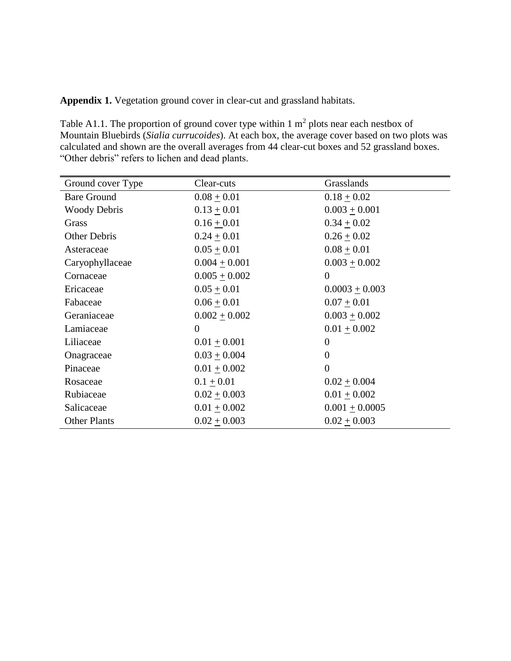**Appendix 1.** Vegetation ground cover in clear-cut and grassland habitats.

Table A1.1. The proportion of ground cover type within 1  $m<sup>2</sup>$  plots near each nestbox of Mountain Bluebirds (*Sialia currucoides*). At each box, the average cover based on two plots was calculated and shown are the overall averages from 44 clear-cut boxes and 52 grassland boxes. "Other debris" refers to lichen and dead plants.

| Ground cover Type   | Clear-cuts        | Grasslands        |
|---------------------|-------------------|-------------------|
| <b>Bare Ground</b>  | $0.08 \pm 0.01$   | $0.18 + 0.02$     |
| <b>Woody Debris</b> | $0.13 \pm 0.01$   | $0.003 + 0.001$   |
| Grass               | $0.16 + 0.01$     | $0.34 \pm 0.02$   |
| Other Debris        | $0.24 \pm 0.01$   | $0.26 \pm 0.02$   |
| Asteraceae          | $0.05 \pm 0.01$   | $0.08 + 0.01$     |
| Caryophyllaceae     | $0.004 \pm 0.001$ | $0.003 \pm 0.002$ |
| Cornaceae           | $0.005 \pm 0.002$ | $\theta$          |
| Ericaceae           | $0.05 + 0.01$     | $0.0003 + 0.003$  |
| Fabaceae            | $0.06 + 0.01$     | $0.07 + 0.01$     |
| Geraniaceae         | $0.002 + 0.002$   | $0.003 + 0.002$   |
| Lamiaceae           | $\boldsymbol{0}$  | $0.01 + 0.002$    |
| Liliaceae           | $0.01 \pm 0.001$  | $\overline{0}$    |
| Onagraceae          | $0.03 \pm 0.004$  | $\overline{0}$    |
| Pinaceae            | $0.01 \pm 0.002$  | $\Omega$          |
| Rosaceae            | $0.1 + 0.01$      | $0.02 + 0.004$    |
| Rubiaceae           | $0.02 + 0.003$    | $0.01 + 0.002$    |
| Salicaceae          | $0.01 + 0.002$    | $0.001 + 0.0005$  |
| <b>Other Plants</b> | $0.02 \pm 0.003$  | $0.02 + 0.003$    |